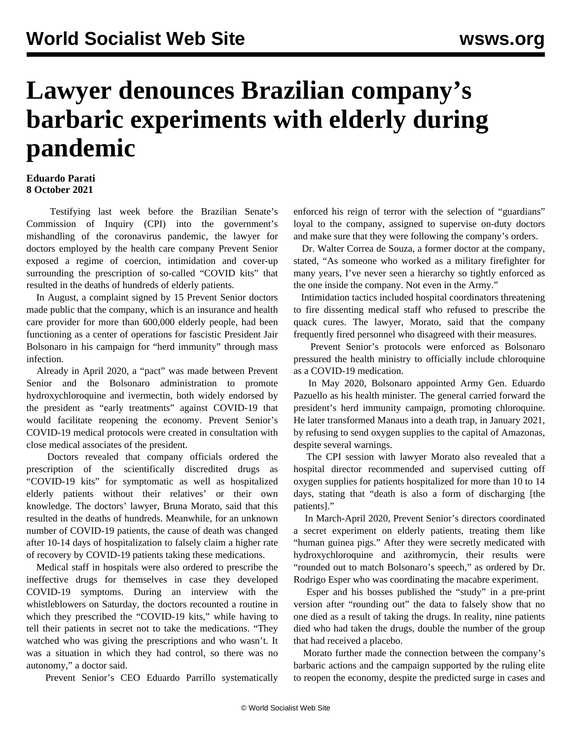## **Lawyer denounces Brazilian company's barbaric experiments with elderly during pandemic**

## **Eduardo Parati 8 October 2021**

 Testifying last week before the Brazilian Senate's Commission of Inquiry (CPI) into the government's mishandling of the coronavirus pandemic, the lawyer for doctors employed by the health care company Prevent Senior exposed a regime of coercion, intimidation and cover-up surrounding the prescription of so-called "COVID kits" that resulted in the deaths of hundreds of elderly patients.

 In August, a complaint signed by 15 Prevent Senior doctors made public that the company, which is an insurance and health care provider for more than 600,000 elderly people, had been functioning as a center of operations for fascistic President Jair Bolsonaro in his campaign for "herd immunity" through mass infection.

 Already in April 2020, a "pact" was made between Prevent Senior and the Bolsonaro administration to promote hydroxychloroquine and ivermectin, both widely endorsed by the president as "early treatments" against COVID-19 that would facilitate reopening the economy. Prevent Senior's COVID-19 medical protocols were created in consultation with close medical associates of the president.

 Doctors revealed that company officials ordered the prescription of the scientifically discredited drugs as "COVID-19 kits" for symptomatic as well as hospitalized elderly patients without their relatives' or their own knowledge. The doctors' lawyer, Bruna Morato, said that this resulted in the deaths of hundreds. Meanwhile, for an unknown number of COVID-19 patients, the cause of death was changed after 10-14 days of hospitalization to falsely claim a higher rate of recovery by COVID-19 patients taking these medications.

 Medical staff in hospitals were also ordered to prescribe the ineffective drugs for themselves in case they developed COVID-19 symptoms. During an interview with the whistleblowers on Saturday, the doctors recounted a routine in which they prescribed the "COVID-19 kits," while having to tell their patients in secret not to take the medications. "They watched who was giving the prescriptions and who wasn't. It was a situation in which they had control, so there was no autonomy," a doctor said.

Prevent Senior's CEO Eduardo Parrillo systematically

enforced his reign of terror with the selection of "guardians" loyal to the company, assigned to supervise on-duty doctors and make sure that they were following the company's orders.

 Dr. Walter Correa de Souza, a former doctor at the company, stated, "As someone who worked as a military firefighter for many years, I've never seen a hierarchy so tightly enforced as the one inside the company. Not even in the Army."

 Intimidation tactics included hospital coordinators threatening to fire dissenting medical staff who refused to prescribe the quack cures. The lawyer, Morato, said that the company frequently fired personnel who disagreed with their measures.

 Prevent Senior's protocols were enforced as Bolsonaro pressured the health ministry to officially include chloroquine as a COVID-19 medication.

 In May 2020, Bolsonaro appointed Army Gen. Eduardo Pazuello as his health minister. The general carried forward the president's herd immunity campaign, promoting chloroquine. He later transformed Manaus into a death trap, in January 2021, by refusing to send oxygen supplies to the capital of Amazonas, despite several warnings.

 The CPI session with lawyer Morato also revealed that a hospital director recommended and supervised cutting off oxygen supplies for patients hospitalized for more than 10 to 14 days, stating that "death is also a form of discharging [the patients]."

 In March-April 2020, Prevent Senior's directors coordinated a secret [experiment](/en/articles/2021/09/24/braz-s24.html) on elderly patients, treating them like "human guinea pigs." After they were secretly medicated with hydroxychloroquine and azithromycin, their results were "rounded out to match Bolsonaro's speech," as ordered by Dr. Rodrigo Esper who was coordinating the macabre experiment.

 Esper and his bosses published the "study" in a pre-print version after "rounding out" the data to falsely show that no one died as a result of taking the drugs. In reality, nine patients died who had taken the drugs, double the number of the group that had received a placebo.

 Morato further made the connection between the company's barbaric actions and the campaign supported by the ruling elite to reopen the economy, despite the predicted surge in cases and